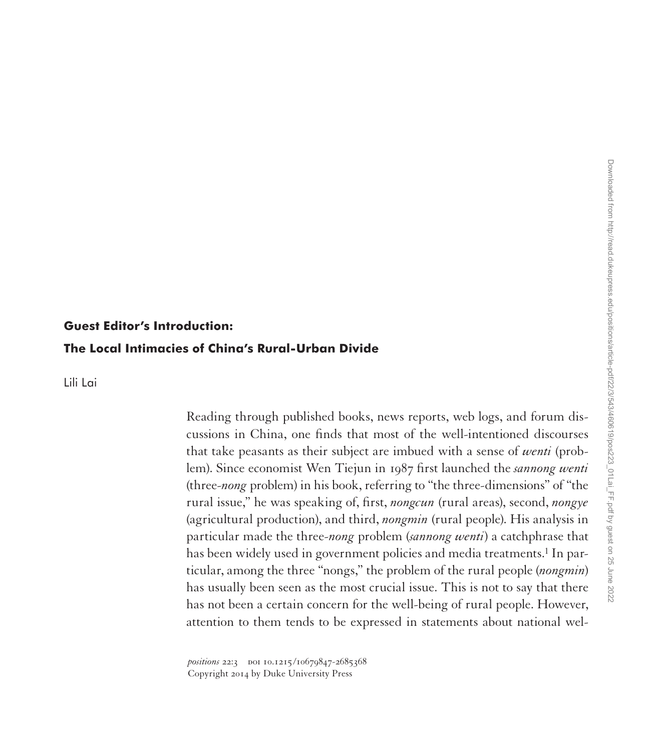## **Guest Editor's Introduction:**

## **The Local Intimacies of China's Rural-Urban Divide**

Lili Lai

Reading through published books, news reports, web logs, and forum discussions in China, one finds that most of the well-intentioned discourses that take peasants as their subject are imbued with a sense of *wenti* (problem). Since economist Wen Tiejun in 1987 first launched the *sannong wenti* (three-*nong* problem) in his book, referring to "the three-dimensions" of "the rural issue," he was speaking of, first, *nongcun* (rural areas), second, *nongye* (agricultural production), and third, *nongmin* (rural people). His analysis in particular made the three-*nong* problem (*sannong wenti*) a catchphrase that has been widely used in government policies and media treatments.<sup>1</sup> In particular, among the three "nongs," the problem of the rural people (*nongmin*) has usually been seen as the most crucial issue. This is not to say that there has not been a certain concern for the well-being of rural people. However, attention to them tends to be expressed in statements about national wel-

*positions* 22:3 DOI 10.1215/10679847-2685368 Copyright 2014 by Duke University Press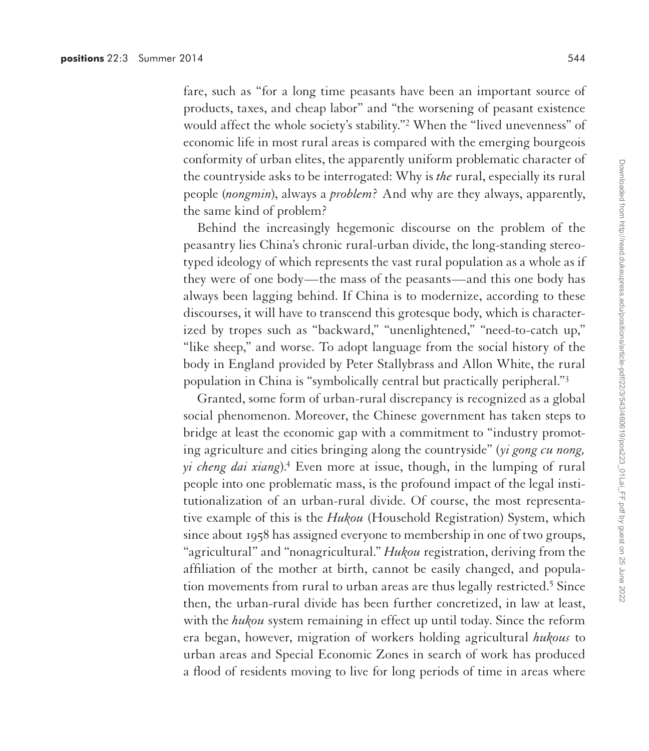fare, such as "for a long time peasants have been an important source of products, taxes, and cheap labor" and "the worsening of peasant existence would affect the whole society's stability."2 When the "lived unevenness" of economic life in most rural areas is compared with the emerging bourgeois conformity of urban elites, the apparently uniform problematic character of the countryside asks to be interrogated: Why is *the* rural, especially its rural people (*nongmin*), always a *problem*? And why are they always, apparently, the same kind of problem?

Behind the increasingly hegemonic discourse on the problem of the peasantry lies China's chronic rural-urban divide, the long-standing stereotyped ideology of which represents the vast rural population as a whole as if they were of one body—the mass of the peasants—and this one body has always been lagging behind. If China is to modernize, according to these discourses, it will have to transcend this grotesque body, which is characterized by tropes such as "backward," "unenlightened," "need-to-catch up," "like sheep," and worse. To adopt language from the social history of the body in England provided by Peter Stallybrass and Allon White, the rural population in China is "symbolically central but practically peripheral."3

Granted, some form of urban-rural discrepancy is recognized as a global social phenomenon. Moreover, the Chinese government has taken steps to bridge at least the economic gap with a commitment to "industry promoting agriculture and cities bringing along the countryside" (*yi gong cu nong, yi cheng dai xiang*).4 Even more at issue, though, in the lumping of rural people into one problematic mass, is the profound impact of the legal institutionalization of an urban-rural divide. Of course, the most representative example of this is the *Hukou* (Household Registration) System, which since about 1958 has assigned everyone to membership in one of two groups, "agricultural" and "nonagricultural." *Hukou* registration, deriving from the affiliation of the mother at birth, cannot be easily changed, and population movements from rural to urban areas are thus legally restricted.5 Since then, the urban-rural divide has been further concretized, in law at least, with the *hukou* system remaining in effect up until today. Since the reform era began, however, migration of workers holding agricultural *hukous* to urban areas and Special Economic Zones in search of work has produced a flood of residents moving to live for long periods of time in areas where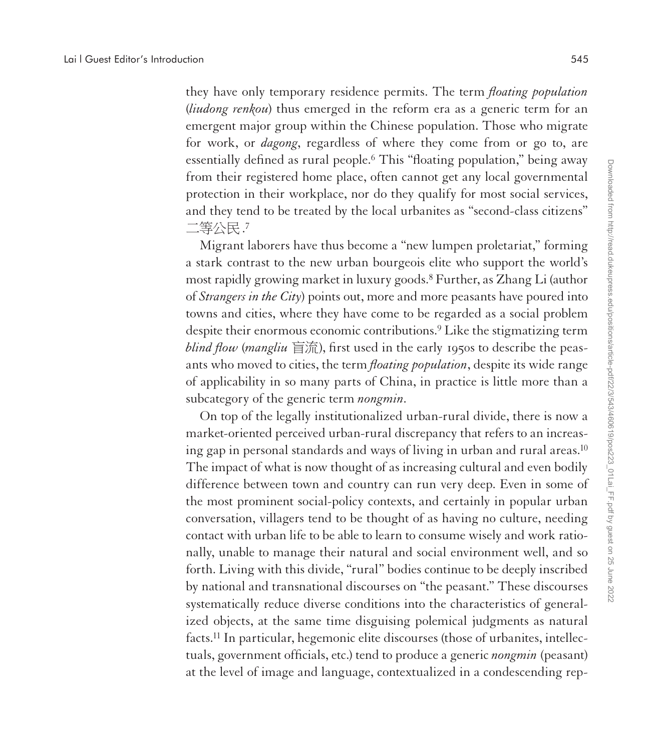they have only temporary residence permits. The term *floating population*  (*liudong renkou*) thus emerged in the reform era as a generic term for an emergent major group within the Chinese population. Those who migrate for work, or *dagong*, regardless of where they come from or go to, are essentially defined as rural people.6 This "floating population," being away from their registered home place, often cannot get any local governmental protection in their workplace, nor do they qualify for most social services, and they tend to be treated by the local urbanites as "second-class citizens" 二等公民. 7

Migrant laborers have thus become a "new lumpen proletariat," forming a stark contrast to the new urban bourgeois elite who support the world's most rapidly growing market in luxury goods.8 Further, as Zhang Li (author of *Strangers in the City*) points out, more and more peasants have poured into towns and cities, where they have come to be regarded as a social problem despite their enormous economic contributions.9 Like the stigmatizing term *blind flow* (*mangliu* 盲流), first used in the early 1950s to describe the peasants who moved to cities, the term *floating population*, despite its wide range of applicability in so many parts of China, in practice is little more than a subcategory of the generic term *nongmin*.

On top of the legally institutionalized urban-rural divide, there is now a market-oriented perceived urban-rural discrepancy that refers to an increasing gap in personal standards and ways of living in urban and rural areas.10 The impact of what is now thought of as increasing cultural and even bodily difference between town and country can run very deep. Even in some of the most prominent social-policy contexts, and certainly in popular urban conversation, villagers tend to be thought of as having no culture, needing contact with urban life to be able to learn to consume wisely and work rationally, unable to manage their natural and social environment well, and so forth. Living with this divide, "rural" bodies continue to be deeply inscribed by national and transnational discourses on "the peasant." These discourses systematically reduce diverse conditions into the characteristics of generalized objects, at the same time disguising polemical judgments as natural facts.11 In particular, hegemonic elite discourses (those of urbanites, intellectuals, government officials, etc.) tend to produce a generic *nongmin* (peasant) at the level of image and language, contextualized in a condescending rep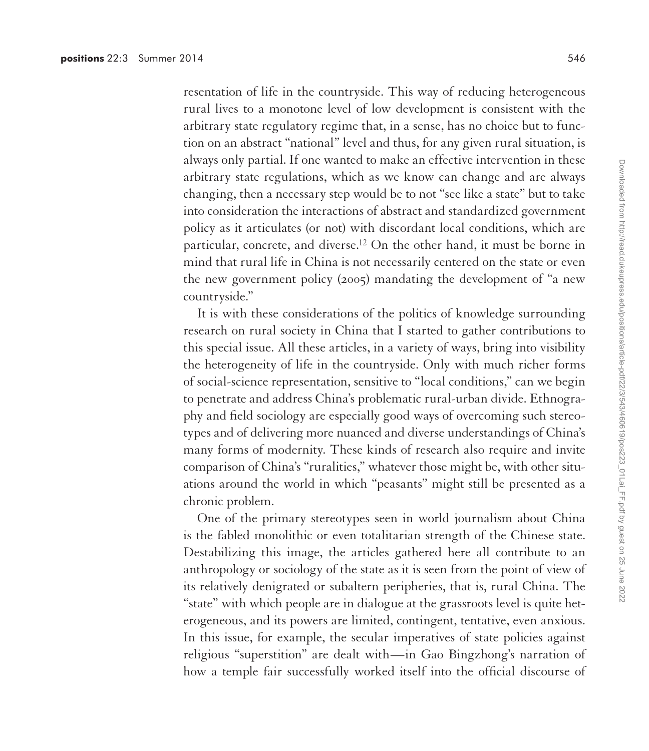resentation of life in the countryside. This way of reducing heterogeneous rural lives to a monotone level of low development is consistent with the arbitrary state regulatory regime that, in a sense, has no choice but to function on an abstract "national" level and thus, for any given rural situation, is always only partial. If one wanted to make an effective intervention in these arbitrary state regulations, which as we know can change and are always changing, then a necessary step would be to not "see like a state" but to take into consideration the interactions of abstract and standardized government policy as it articulates (or not) with discordant local conditions, which are particular, concrete, and diverse.<sup>12</sup> On the other hand, it must be borne in mind that rural life in China is not necessarily centered on the state or even the new government policy (2005) mandating the development of "a new countryside."

It is with these considerations of the politics of knowledge surrounding research on rural society in China that I started to gather contributions to this special issue. All these articles, in a variety of ways, bring into visibility the heterogeneity of life in the countryside. Only with much richer forms of social-science representation, sensitive to "local conditions," can we begin to penetrate and address China's problematic rural-urban divide. Ethnography and field sociology are especially good ways of overcoming such stereotypes and of delivering more nuanced and diverse understandings of China's many forms of modernity. These kinds of research also require and invite comparison of China's "ruralities," whatever those might be, with other situations around the world in which "peasants" might still be presented as a chronic problem.

One of the primary stereotypes seen in world journalism about China is the fabled monolithic or even totalitarian strength of the Chinese state. Destabilizing this image, the articles gathered here all contribute to an anthropology or sociology of the state as it is seen from the point of view of its relatively denigrated or subaltern peripheries, that is, rural China. The "state" with which people are in dialogue at the grassroots level is quite heterogeneous, and its powers are limited, contingent, tentative, even anxious. In this issue, for example, the secular imperatives of state policies against religious "superstition" are dealt with—in Gao Bingzhong's narration of how a temple fair successfully worked itself into the official discourse of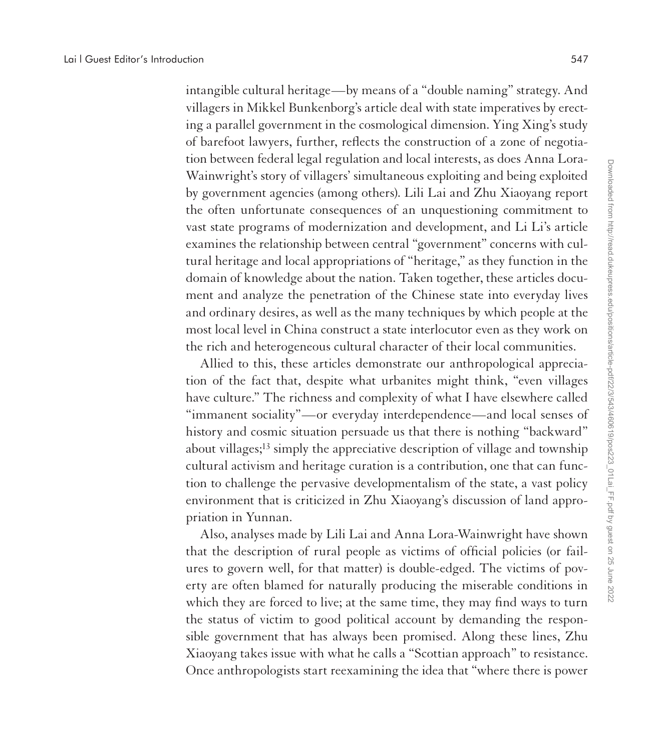intangible cultural heritage—by means of a "double naming" strategy. And villagers in Mikkel Bunkenborg's article deal with state imperatives by erecting a parallel government in the cosmological dimension. Ying Xing's study of barefoot lawyers, further, reflects the construction of a zone of negotiation between federal legal regulation and local interests, as does Anna Lora-Wainwright's story of villagers' simultaneous exploiting and being exploited by government agencies (among others). Lili Lai and Zhu Xiaoyang report the often unfortunate consequences of an unquestioning commitment to vast state programs of modernization and development, and Li Li's article examines the relationship between central "government" concerns with cultural heritage and local appropriations of "heritage," as they function in the domain of knowledge about the nation. Taken together, these articles document and analyze the penetration of the Chinese state into everyday lives and ordinary desires, as well as the many techniques by which people at the most local level in China construct a state interlocutor even as they work on the rich and heterogeneous cultural character of their local communities.

Allied to this, these articles demonstrate our anthropological appreciation of the fact that, despite what urbanites might think, "even villages have culture." The richness and complexity of what I have elsewhere called "immanent sociality"—or everyday interdependence—and local senses of history and cosmic situation persuade us that there is nothing "backward" about villages;<sup>13</sup> simply the appreciative description of village and township cultural activism and heritage curation is a contribution, one that can function to challenge the pervasive developmentalism of the state, a vast policy environment that is criticized in Zhu Xiaoyang's discussion of land appropriation in Yunnan.

Also, analyses made by Lili Lai and Anna Lora-Wainwright have shown that the description of rural people as victims of official policies (or failures to govern well, for that matter) is double-edged. The victims of poverty are often blamed for naturally producing the miserable conditions in which they are forced to live; at the same time, they may find ways to turn the status of victim to good political account by demanding the responsible government that has always been promised. Along these lines, Zhu Xiaoyang takes issue with what he calls a "Scottian approach" to resistance. Once anthropologists start reexamining the idea that "where there is power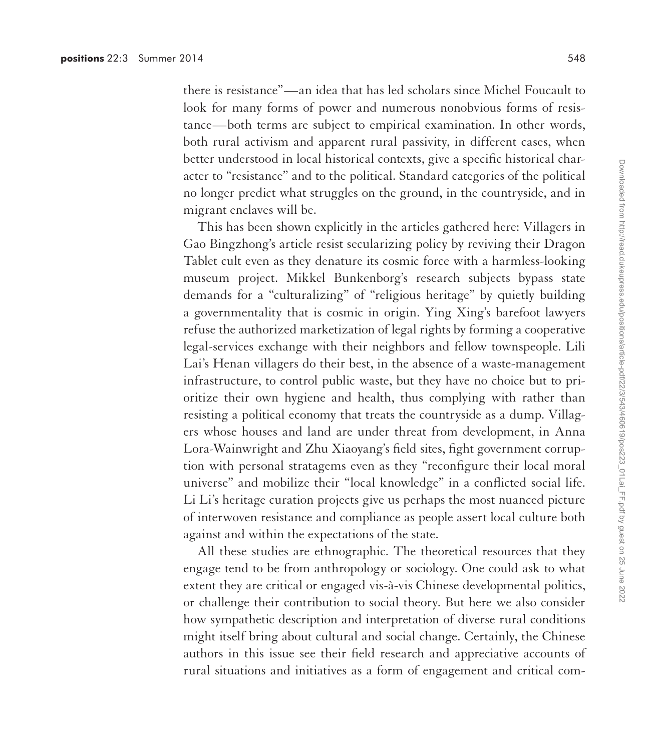there is resistance"—an idea that has led scholars since Michel Foucault to look for many forms of power and numerous nonobvious forms of resistance—both terms are subject to empirical examination. In other words, both rural activism and apparent rural passivity, in different cases, when better understood in local historical contexts, give a specific historical character to "resistance" and to the political. Standard categories of the political no longer predict what struggles on the ground, in the countryside, and in migrant enclaves will be.

This has been shown explicitly in the articles gathered here: Villagers in Gao Bingzhong's article resist secularizing policy by reviving their Dragon Tablet cult even as they denature its cosmic force with a harmless-looking museum project. Mikkel Bunkenborg's research subjects bypass state demands for a "culturalizing" of "religious heritage" by quietly building a governmentality that is cosmic in origin. Ying Xing's barefoot lawyers refuse the authorized marketization of legal rights by forming a cooperative legal-services exchange with their neighbors and fellow townspeople. Lili Lai's Henan villagers do their best, in the absence of a waste-management infrastructure, to control public waste, but they have no choice but to prioritize their own hygiene and health, thus complying with rather than resisting a political economy that treats the countryside as a dump. Villagers whose houses and land are under threat from development, in Anna Lora-Wainwright and Zhu Xiaoyang's field sites, fight government corruption with personal stratagems even as they "reconfigure their local moral universe" and mobilize their "local knowledge" in a conflicted social life. Li Li's heritage curation projects give us perhaps the most nuanced picture of interwoven resistance and compliance as people assert local culture both against and within the expectations of the state.

All these studies are ethnographic. The theoretical resources that they engage tend to be from anthropology or sociology. One could ask to what extent they are critical or engaged vis-à-vis Chinese developmental politics, or challenge their contribution to social theory. But here we also consider how sympathetic description and interpretation of diverse rural conditions might itself bring about cultural and social change. Certainly, the Chinese authors in this issue see their field research and appreciative accounts of rural situations and initiatives as a form of engagement and critical com-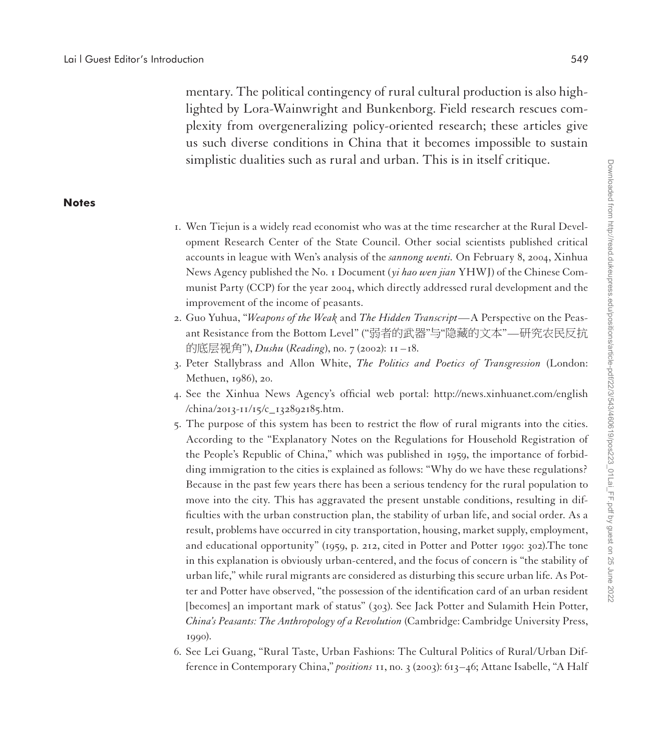mentary. The political contingency of rural cultural production is also highlighted by Lora-Wainwright and Bunkenborg. Field research rescues complexity from overgeneralizing policy-oriented research; these articles give us such diverse conditions in China that it becomes impossible to sustain simplistic dualities such as rural and urban. This is in itself critique.

## **Notes**

- 1. Wen Tiejun is a widely read economist who was at the time researcher at the Rural Development Research Center of the State Council. Other social scientists published critical accounts in league with Wen's analysis of the *sannong wenti.* On February 8, 2004, Xinhua News Agency published the No. 1 Document ( *yi hao wen jian* YHWJ) of the Chinese Communist Party (CCP) for the year 2004, which directly addressed rural development and the improvement of the income of peasants.
- 2. Guo Yuhua, "*Weapons of the Weak* and *The Hidden Transcript*—A Perspective on the Peasant Resistance from the Bottom Level" ("弱者的武器"与"隐藏的文本"—研究农民反抗 的底层视角"), *Dushu* (*Reading*), no. 7 (2002): 11 –18.
- 3. Peter Stallybrass and Allon White, *The Politics and Poetics of Transgression* (London: Methuen, 1986), 20.
- 4. See the Xinhua News Agency's official web portal: http://news.xinhuanet.com/english /china/2013-11/15/c\_132892185.htm.
- 5. The purpose of this system has been to restrict the flow of rural migrants into the cities. According to the "Explanatory Notes on the Regulations for Household Registration of the People's Republic of China," which was published in 1959, the importance of forbidding immigration to the cities is explained as follows: "Why do we have these regulations? Because in the past few years there has been a serious tendency for the rural population to move into the city. This has aggravated the present unstable conditions, resulting in difficulties with the urban construction plan, the stability of urban life, and social order. As a result, problems have occurred in city transportation, housing, market supply, employment, and educational opportunity" (1959, p. 212, cited in Potter and Potter 1990: 302).The tone in this explanation is obviously urban-centered, and the focus of concern is "the stability of urban life," while rural migrants are considered as disturbing this secure urban life. As Potter and Potter have observed, "the possession of the identification card of an urban resident [becomes] an important mark of status" (303). See Jack Potter and Sulamith Hein Potter, *China's Peasants: The Anthropology of a Revolution* (Cambridge: Cambridge University Press, 1990).
- 6. See Lei Guang, "Rural Taste, Urban Fashions: The Cultural Politics of Rural/Urban Difference in Contemporary China," *positions* 11, no. 3 (2003): 613–46; Attane Isabelle, "A Half